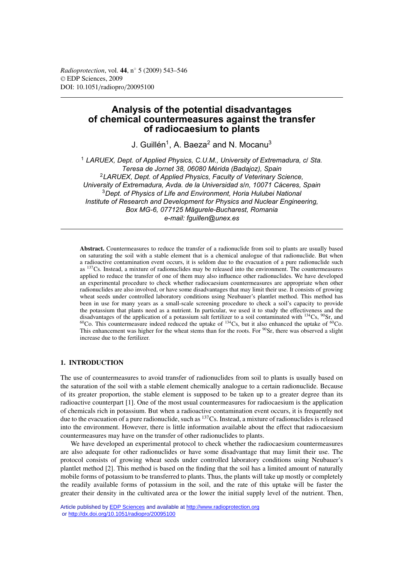*Radioprotection*, vol. **44**, n◦ 5 (2009) 543–546 © EDP Sciences, 2009 DOI: 10.1051/radiopro/20095100

# **Analysis of the potential disadvantages of chemical countermeasures against the transfer of radiocaesium to plants**

J. Guillén<sup>1</sup>, A. Baeza<sup>2</sup> and N. Mocanu<sup>3</sup>

<sup>1</sup> *LARUEX, Dept. of Applied Physics, C.U.M., University of Extremadura, c/ Sta. Teresa de Jornet 38, 06080 Mérida (Badajoz), Spain* <sup>2</sup>*LARUEX, Dept. of Applied Physics, Faculty of Veterinary Science, University of Extremadura, Avda. de la Universidad s/n, 10071 Cáceres, Spain* <sup>3</sup>*Dept. of Physics of Life and Environment, Horia Hulubei National Institute of Research and Development for Physics and Nuclear Engineering, Box MG-6, 077125 Mägurele-Bucharest, Romania e-mail: fguillen@unex.es*

**Abstract.** Countermeasures to reduce the transfer of a radionuclide from soil to plants are usually based on saturating the soil with a stable element that is a chemical analogue of that radionuclide. But when a radioactive contamination event occurs, it is seldom due to the evacuation of a pure radionuclide such as 137Cs. Instead, a mixture of radionuclides may be released into the environment. The countermeasures applied to reduce the transfer of one of them may also influence other radionuclides. We have developed an experimental procedure to check whether radiocaesium countermeasures are appropriate when other radionuclides are also involved, or have some disadvantages that may limit their use. It consists of growing wheat seeds under controlled laboratory conditions using Neubauer's plantlet method. This method has been in use for many years as a small-scale screening procedure to check a soil's capacity to provide the potassium that plants need as a nutrient. In particular, we used it to study the effectiveness and the disadvantages of the application of a potassium salt fertilizer to a soil contaminated with  $^{134}Cs$ ,  $^{90}Sr$ , and  $^{60}$ Co. This countermeasure indeed reduced the uptake of  $^{134}$ Cs, but it also enhanced the uptake of  $^{60}$ Co. This enhancement was higher for the wheat stems than for the roots. For <sup>90</sup>Sr, there was observed a slight increase due to the fertilizer.

# **1. INTRODUCTION**

The use of countermeasures to avoid transfer of radionuclides from soil to plants is usually based on the saturation of the soil with a stable element chemically analogue to a certain radionuclide. Because of its greater proportion, the stable element is supposed to be taken up to a greater degree than its radioactive counterpart [1]. One of the most usual countermeasures for radiocaesium is the application of chemicals rich in potassium. But when a radioactive contamination event occurs, it is frequently not due to the evacuation of a pure radionuclide, such as  $137Cs$ . Instead, a mixture of radionuclides is released into the environment. However, there is little information available about the effect that radiocaesium countermeasures may have on the transfer of other radionuclides to plants.

We have developed an experimental protocol to check whether the radiocaesium countermeasures are also adequate for other radionuclides or have some disadvantage that may limit their use. The protocol consists of growing wheat seeds under controlled laboratory conditions using Neubauer's plantlet method [2]. This method is based on the finding that the soil has a limited amount of naturally mobile forms of potassium to be transferred to plants. Thus, the plants will take up mostly or completely the readily available forms of potassium in the soil, and the rate of this uptake will be faster the greater their density in the cultivated area or the lower the initial supply level of the nutrient. Then,

Article published by [EDP Sciences](http://www.edpsciences.org) and available at<http://www.radioprotection.org> or <http://dx.doi.org/10.1051/radiopro/20095100>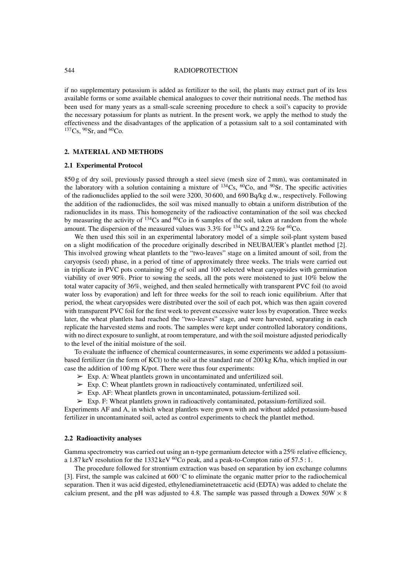## 544 RADIOPROTECTION

if no supplementary potassium is added as fertilizer to the soil, the plants may extract part of its less available forms or some available chemical analogues to cover their nutritional needs. The method has been used for many years as a small-scale screening procedure to check a soil's capacity to provide the necessary potassium for plants as nutrient. In the present work, we apply the method to study the effectiveness and the disadvantages of the application of a potassium salt to a soil contaminated with  $137Cs$ ,  $90Sr$ , and  $60Co$ .

# **2. MATERIAL AND METHODS**

#### **2.1 Experimental Protocol**

850 g of dry soil, previously passed through a steel sieve (mesh size of 2 mm), was contaminated in the laboratory with a solution containing a mixture of  $^{134}Cs$ ,  $^{60}Co$ , and  $^{90}Sr$ . The specific activities of the radionuclides applied to the soil were 3200, 30 600, and 690 Bq/kg d.w., respectively. Following the addition of the radionuclides, the soil was mixed manually to obtain a uniform distribution of the radionuclides in its mass. This homogeneity of the radioactive contamination of the soil was checked by measuring the activity of  $134Cs$  and  $60Co$  in 6 samples of the soil, taken at random from the whole amount. The dispersion of the measured values was  $3.3\%$  for  $^{134}Cs$  and  $2.2\%$  for  $^{60}Co$ .

We then used this soil in an experimental laboratory model of a simple soil-plant system based on a slight modification of the procedure originally described in NEUBAUER's plantlet method [2]. This involved growing wheat plantlets to the "two-leaves" stage on a limited amount of soil, from the caryopsis (seed) phase, in a period of time of approximately three weeks. The trials were carried out in triplicate in PVC pots containing 50 g of soil and 100 selected wheat caryopsides with germination viability of over 90%. Prior to sowing the seeds, all the pots were moistened to just 10% below the total water capacity of 36%, weighed, and then sealed hermetically with transparent PVC foil (to avoid water loss by evaporation) and left for three weeks for the soil to reach ionic equilibrium. After that period, the wheat caryopsides were distributed over the soil of each pot, which was then again covered with transparent PVC foil for the first week to prevent excessive water loss by evaporation. Three weeks later, the wheat plantlets had reached the "two-leaves" stage, and were harvested, separating in each replicate the harvested stems and roots. The samples were kept under controlled laboratory conditions, with no direct exposure to sunlight, at room temperature, and with the soil moisture adjusted periodically to the level of the initial moisture of the soil.

To evaluate the influence of chemical countermeasures, in some experiments we added a potassiumbased fertilizer (in the form of KCl) to the soil at the standard rate of 200 kg K/ha, which implied in our case the addition of 100 mg K/pot. There were thus four experiments:

- $\triangleright$  Exp. A: Wheat plantlets grown in uncontaminated and unfertilized soil.
- $\triangleright$  Exp. C: Wheat plantlets grown in radioactively contaminated, unfertilized soil.
- $\triangleright$  Exp. AF: Wheat plantlets grown in uncontaminated, potassium-fertilized soil.
- ➢ Exp. F: Wheat plantlets grown in radioactively contaminated, potassium-fertilized soil.

Experiments AF and A, in which wheat plantlets were grown with and without added potassium-based fertilizer in uncontaminated soil, acted as control experiments to check the plantlet method.

### **2.2 Radioactivity analyses**

Gamma spectrometry was carried out using an n-type germanium detector with a 25% relative efficiency, a 1.87 keV resolution for the 1332 keV  ${}^{60}$ Co peak, and a peak-to-Compton ratio of 57.5 : 1.

The procedure followed for strontium extraction was based on separation by ion exchange columns [3]. First, the sample was calcined at 600 ◦C to eliminate the organic matter prior to the radiochemical separation. Then it was acid digested, ethylenediaminetetraacetic acid (EDTA) was added to chelate the calcium present, and the pH was adjusted to 4.8. The sample was passed through a Dowex  $50W \times 8$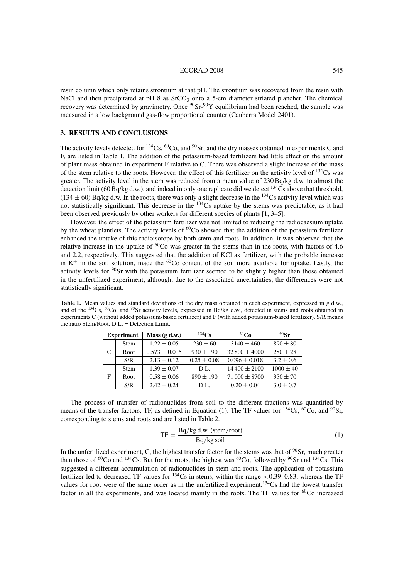#### ECORAD 2008 545

resin column which only retains strontium at that pH. The strontium was recovered from the resin with NaCl and then precipitated at pH  $\frac{8}{3}$  as SrCO<sub>3</sub> onto a 5-cm diameter striated planchet. The chemical recovery was determined by gravimetry. Once  ${}^{90}Sr~^{90}Y$  equilibrium had been reached, the sample was measured in a low background gas-flow proportional counter (Canberra Model 2401).

# **3. RESULTS AND CONCLUSIONS**

The activity levels detected for  $^{134}Cs$ ,  $^{60}Co$ , and  $^{90}Sr$ , and the dry masses obtained in experiments C and F, are listed in Table 1. The addition of the potassium-based fertilizers had little effect on the amount of plant mass obtained in experiment F relative to C. There was observed a slight increase of the mass of the stem relative to the roots. However, the effect of this fertilizer on the activity level of  $^{134}Cs$  was greater. The activity level in the stem was reduced from a mean value of 230 Bq/kg d.w. to almost the detection limit (60 Bq/kg d.w.), and indeed in only one replicate did we detect  $^{134}$ Cs above that threshold,  $(134 \pm 60)$  Bq/kg d.w. In the roots, there was only a slight decrease in the <sup>134</sup>Cs activity level which was not statistically significant. This decrease in the 134Cs uptake by the stems was predictable, as it had been observed previously by other workers for different species of plants [1, 3–5].

However, the effect of the potassium fertilizer was not limited to reducing the radiocaesium uptake by the wheat plantlets. The activity levels of  $^{60}$ Co showed that the addition of the potassium fertilizer enhanced the uptake of this radioisotope by both stem and roots. In addition, it was observed that the relative increase in the uptake of  ${}^{60}Co$  was greater in the stems than in the roots, with factors of 4.6 and 2.2, respectively. This suggested that the addition of KCl as fertilizer, with the probable increase in  $K^+$  in the soil solution, made the  ${}^{60}Co$  content of the soil more available for uptake. Lastly, the activity levels for 90Sr with the potassium fertilizer seemed to be slightly higher than those obtained in the unfertilized experiment, although, due to the associated uncertainties, the differences were not statistically significant.

**Table 1.** Mean values and standard deviations of the dry mass obtained in each experiment, expressed in g d.w., and of the <sup>134</sup>Cs, <sup>60</sup>Co, and <sup>90</sup>Sr activity levels, expressed in Bq/kg d.w., detected in stems and roots obtained in experiments C (without added potassium-based fertilizer) and F (with added potassium-based fertilizer). S/R means the ratio Stem/Root. D.L. = Detection Limit.

| <b>Experiment</b> |             | Mass(g d.w.)      | $^{134}Cs$      | $^{60}Co$         | 90Sr          |
|-------------------|-------------|-------------------|-----------------|-------------------|---------------|
|                   | <b>Stem</b> | $1.22 \pm 0.05$   | $230 \pm 60$    | $3140 \pm 460$    | $890 \pm 80$  |
|                   | Root        | $0.573 \pm 0.015$ | $930 \pm 190$   | $32800 \pm 4000$  | $280 \pm 28$  |
|                   | S/R         | $2.13 \pm 0.12$   | $0.25 \pm 0.08$ | $0.096 \pm 0.018$ | $3.2 \pm 0.6$ |
| F                 | <b>Stem</b> | $1.39 \pm 0.07$   | D.L.            | $14400 \pm 2100$  | $1000 \pm 40$ |
|                   | Root        | $0.58 \pm 0.06$   | $890 \pm 190$   | $71000 \pm 8700$  | $350 \pm 70$  |
|                   | S/R         | $2.42 \pm 0.24$   | D.L.            | $0.20 \pm 0.04$   | $3.0 \pm 0.7$ |

The process of transfer of radionuclides from soil to the different fractions was quantified by means of the transfer factors, TF, as defined in Equation (1). The TF values for  $^{134}Cs$ ,  $^{60}Co$ , and  $^{90}Sr$ , corresponding to stems and roots and are listed in Table 2.

$$
TF = \frac{Bq/kg d.w. \text{(stem/root)}}{Bq/kg \text{ soil}}
$$
 (1)

In the unfertilized experiment, C, the highest transfer factor for the stems was that of  $90$ Sr, much greater than those of <sup>60</sup>Co and <sup>134</sup>Cs. But for the roots, the highest was <sup>60</sup>Co, followed by <sup>90</sup>Sr and <sup>134</sup>Cs. This suggested a different accumulation of radionuclides in stem and roots. The application of potassium fertilizer led to decreased TF values for  $^{134}Cs$  in stems, within the range <0.39–0.83, whereas the TF values for root were of the same order as in the unfertilized experiment.<sup>134</sup>Cs had the lowest transfer factor in all the experiments, and was located mainly in the roots. The TF values for <sup>60</sup>Co increased